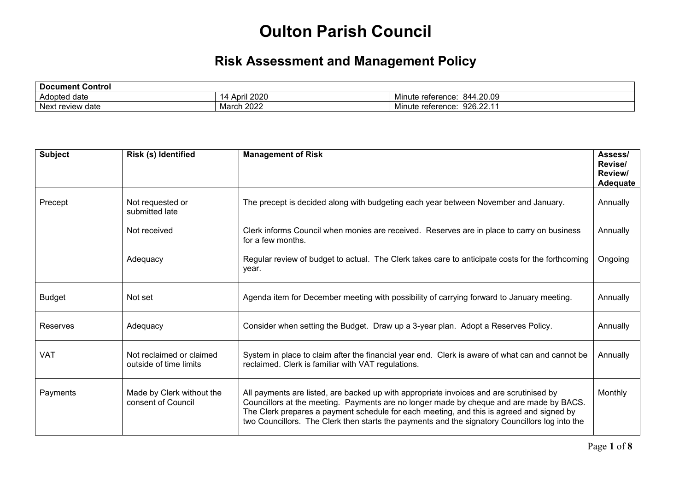## **Oulton Parish Council**

## **Risk Assessment and Management Policy**

| <b>Document Control</b> |                                               |                                      |  |
|-------------------------|-----------------------------------------------|--------------------------------------|--|
| Adopted date            | $\mathbf{a}$<br>Anr<br>rii zuzu<br><b>NUI</b> | 844.20.09<br>.<br>Minute reference:  |  |
| Next<br>review<br>∶date | nnnn<br>March<br>™ ZUZ∠                       | 926.22.1<br>. .<br>Minute reference: |  |

| <b>Subject</b> | Risk (s) Identified                                | <b>Management of Risk</b>                                                                                                                                                                                                                                                                                                                                                        | Assess/<br>Revise/<br>Review/<br>Adequate |
|----------------|----------------------------------------------------|----------------------------------------------------------------------------------------------------------------------------------------------------------------------------------------------------------------------------------------------------------------------------------------------------------------------------------------------------------------------------------|-------------------------------------------|
| Precept        | Not requested or<br>submitted late                 | The precept is decided along with budgeting each year between November and January.                                                                                                                                                                                                                                                                                              | Annually                                  |
|                | Not received                                       | Clerk informs Council when monies are received. Reserves are in place to carry on business<br>for a few months.                                                                                                                                                                                                                                                                  | Annually                                  |
|                | Adequacy                                           | Regular review of budget to actual. The Clerk takes care to anticipate costs for the forthcoming<br>year.                                                                                                                                                                                                                                                                        | Ongoing                                   |
| <b>Budget</b>  | Not set                                            | Agenda item for December meeting with possibility of carrying forward to January meeting.                                                                                                                                                                                                                                                                                        | Annually                                  |
| Reserves       | Adequacy                                           | Consider when setting the Budget. Draw up a 3-year plan. Adopt a Reserves Policy.                                                                                                                                                                                                                                                                                                | Annually                                  |
| VAT            | Not reclaimed or claimed<br>outside of time limits | System in place to claim after the financial year end. Clerk is aware of what can and cannot be<br>reclaimed. Clerk is familiar with VAT regulations.                                                                                                                                                                                                                            | Annually                                  |
| Payments       | Made by Clerk without the<br>consent of Council    | All payments are listed, are backed up with appropriate invoices and are scrutinised by<br>Councillors at the meeting. Payments are no longer made by cheque and are made by BACS.<br>The Clerk prepares a payment schedule for each meeting, and this is agreed and signed by<br>two Councillors. The Clerk then starts the payments and the signatory Councillors log into the | Monthly                                   |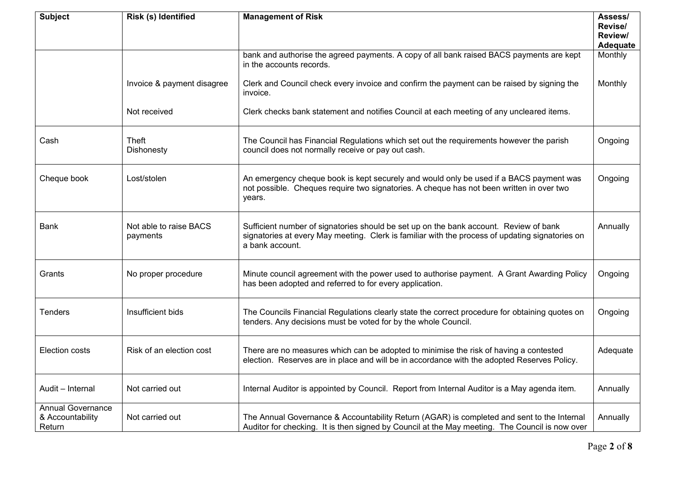| <b>Subject</b>                                         | Risk (s) Identified                | <b>Management of Risk</b>                                                                                                                                                                                   | Assess/<br>Revise/  |
|--------------------------------------------------------|------------------------------------|-------------------------------------------------------------------------------------------------------------------------------------------------------------------------------------------------------------|---------------------|
|                                                        |                                    |                                                                                                                                                                                                             | Review/<br>Adequate |
|                                                        |                                    | bank and authorise the agreed payments. A copy of all bank raised BACS payments are kept<br>in the accounts records.                                                                                        | Monthly             |
|                                                        | Invoice & payment disagree         | Clerk and Council check every invoice and confirm the payment can be raised by signing the<br>invoice.                                                                                                      | Monthly             |
|                                                        | Not received                       | Clerk checks bank statement and notifies Council at each meeting of any uncleared items.                                                                                                                    |                     |
| Cash                                                   | Theft<br><b>Dishonesty</b>         | The Council has Financial Regulations which set out the requirements however the parish<br>council does not normally receive or pay out cash.                                                               | Ongoing             |
| Cheque book                                            | Lost/stolen                        | An emergency cheque book is kept securely and would only be used if a BACS payment was<br>not possible. Cheques require two signatories. A cheque has not been written in over two<br>years.                | Ongoing             |
| Bank                                                   | Not able to raise BACS<br>payments | Sufficient number of signatories should be set up on the bank account. Review of bank<br>signatories at every May meeting. Clerk is familiar with the process of updating signatories on<br>a bank account. | Annually            |
| Grants                                                 | No proper procedure                | Minute council agreement with the power used to authorise payment. A Grant Awarding Policy<br>has been adopted and referred to for every application.                                                       | Ongoing             |
| <b>Tenders</b>                                         | Insufficient bids                  | The Councils Financial Regulations clearly state the correct procedure for obtaining quotes on<br>tenders. Any decisions must be voted for by the whole Council.                                            | Ongoing             |
| Election costs                                         | Risk of an election cost           | There are no measures which can be adopted to minimise the risk of having a contested<br>election. Reserves are in place and will be in accordance with the adopted Reserves Policy.                        | Adequate            |
| Audit - Internal                                       | Not carried out                    | Internal Auditor is appointed by Council. Report from Internal Auditor is a May agenda item.                                                                                                                | Annually            |
| <b>Annual Governance</b><br>& Accountability<br>Return | Not carried out                    | The Annual Governance & Accountability Return (AGAR) is completed and sent to the Internal<br>Auditor for checking. It is then signed by Council at the May meeting. The Council is now over                | Annually            |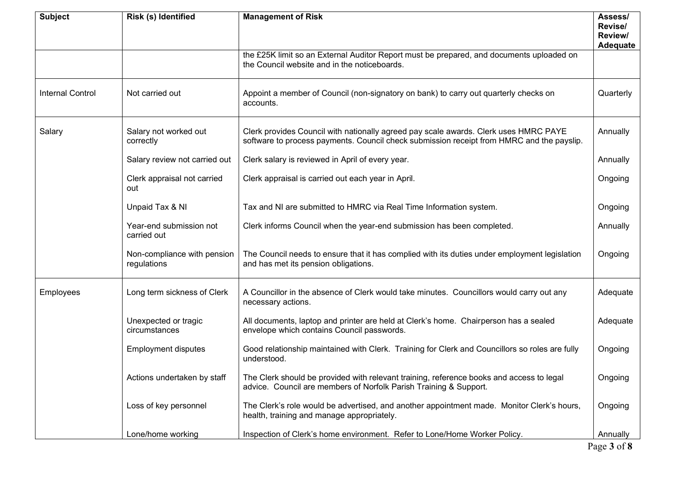| <b>Subject</b>          | Risk (s) Identified                        | <b>Management of Risk</b>                                                                                                                                                         | Assess/<br>Revise/<br>Review/<br>Adequate |
|-------------------------|--------------------------------------------|-----------------------------------------------------------------------------------------------------------------------------------------------------------------------------------|-------------------------------------------|
|                         |                                            | the £25K limit so an External Auditor Report must be prepared, and documents uploaded on<br>the Council website and in the noticeboards.                                          |                                           |
| <b>Internal Control</b> | Not carried out                            | Appoint a member of Council (non-signatory on bank) to carry out quarterly checks on<br>accounts.                                                                                 | Quarterly                                 |
| Salary                  | Salary not worked out<br>correctly         | Clerk provides Council with nationally agreed pay scale awards. Clerk uses HMRC PAYE<br>software to process payments. Council check submission receipt from HMRC and the payslip. | Annually                                  |
|                         | Salary review not carried out              | Clerk salary is reviewed in April of every year.                                                                                                                                  | Annually                                  |
|                         | Clerk appraisal not carried<br>out         | Clerk appraisal is carried out each year in April.                                                                                                                                | Ongoing                                   |
|                         | Unpaid Tax & NI                            | Tax and NI are submitted to HMRC via Real Time Information system.                                                                                                                | Ongoing                                   |
|                         | Year-end submission not<br>carried out     | Clerk informs Council when the year-end submission has been completed.                                                                                                            | Annually                                  |
|                         | Non-compliance with pension<br>regulations | The Council needs to ensure that it has complied with its duties under employment legislation<br>and has met its pension obligations.                                             | Ongoing                                   |
| Employees               | Long term sickness of Clerk                | A Councillor in the absence of Clerk would take minutes. Councillors would carry out any<br>necessary actions.                                                                    | Adequate                                  |
|                         | Unexpected or tragic<br>circumstances      | All documents, laptop and printer are held at Clerk's home. Chairperson has a sealed<br>envelope which contains Council passwords.                                                | Adequate                                  |
|                         | <b>Employment disputes</b>                 | Good relationship maintained with Clerk. Training for Clerk and Councillors so roles are fully<br>understood.                                                                     | Ongoing                                   |
|                         | Actions undertaken by staff                | The Clerk should be provided with relevant training, reference books and access to legal<br>advice. Council are members of Norfolk Parish Training & Support.                     | Ongoing                                   |
|                         | Loss of key personnel                      | The Clerk's role would be advertised, and another appointment made. Monitor Clerk's hours,<br>health, training and manage appropriately.                                          | Ongoing                                   |
|                         | Lone/home working                          | Inspection of Clerk's home environment. Refer to Lone/Home Worker Policy.                                                                                                         | Annually                                  |
|                         |                                            |                                                                                                                                                                                   | Page 3 of 8                               |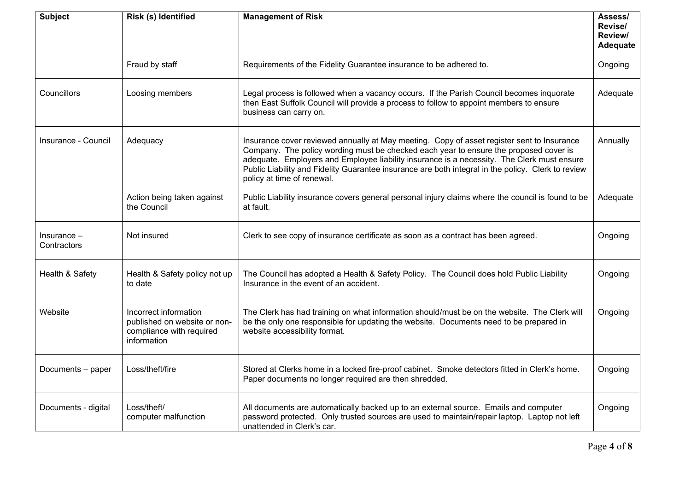| <b>Subject</b>             | Risk (s) Identified                                                                              | <b>Management of Risk</b>                                                                                                                                                                                                                                                                                                                                                                                             | Assess/<br>Revise/<br>Review/<br>Adequate |
|----------------------------|--------------------------------------------------------------------------------------------------|-----------------------------------------------------------------------------------------------------------------------------------------------------------------------------------------------------------------------------------------------------------------------------------------------------------------------------------------------------------------------------------------------------------------------|-------------------------------------------|
|                            | Fraud by staff                                                                                   | Requirements of the Fidelity Guarantee insurance to be adhered to.                                                                                                                                                                                                                                                                                                                                                    | Ongoing                                   |
| Councillors                | Loosing members                                                                                  | Legal process is followed when a vacancy occurs. If the Parish Council becomes inquorate<br>then East Suffolk Council will provide a process to follow to appoint members to ensure<br>business can carry on.                                                                                                                                                                                                         | Adequate                                  |
| Insurance - Council        | Adequacy                                                                                         | Insurance cover reviewed annually at May meeting. Copy of asset register sent to Insurance<br>Company. The policy wording must be checked each year to ensure the proposed cover is<br>adequate. Employers and Employee liability insurance is a necessity. The Clerk must ensure<br>Public Liability and Fidelity Guarantee insurance are both integral in the policy. Clerk to review<br>policy at time of renewal. | Annually                                  |
|                            | Action being taken against<br>the Council                                                        | Public Liability insurance covers general personal injury claims where the council is found to be<br>at fault.                                                                                                                                                                                                                                                                                                        | Adequate                                  |
| Insurance -<br>Contractors | Not insured                                                                                      | Clerk to see copy of insurance certificate as soon as a contract has been agreed.                                                                                                                                                                                                                                                                                                                                     | Ongoing                                   |
| Health & Safety            | Health & Safety policy not up<br>to date                                                         | The Council has adopted a Health & Safety Policy. The Council does hold Public Liability<br>Insurance in the event of an accident.                                                                                                                                                                                                                                                                                    | Ongoing                                   |
| Website                    | Incorrect information<br>published on website or non-<br>compliance with required<br>information | The Clerk has had training on what information should/must be on the website. The Clerk will<br>be the only one responsible for updating the website. Documents need to be prepared in<br>website accessibility format.                                                                                                                                                                                               | Ongoing                                   |
| Documents - paper          | Loss/theft/fire                                                                                  | Stored at Clerks home in a locked fire-proof cabinet. Smoke detectors fitted in Clerk's home.<br>Paper documents no longer required are then shredded.                                                                                                                                                                                                                                                                | Ongoing                                   |
| Documents - digital        | Loss/theft/<br>computer malfunction                                                              | All documents are automatically backed up to an external source. Emails and computer<br>password protected. Only trusted sources are used to maintain/repair laptop. Laptop not left<br>unattended in Clerk's car.                                                                                                                                                                                                    | Ongoing                                   |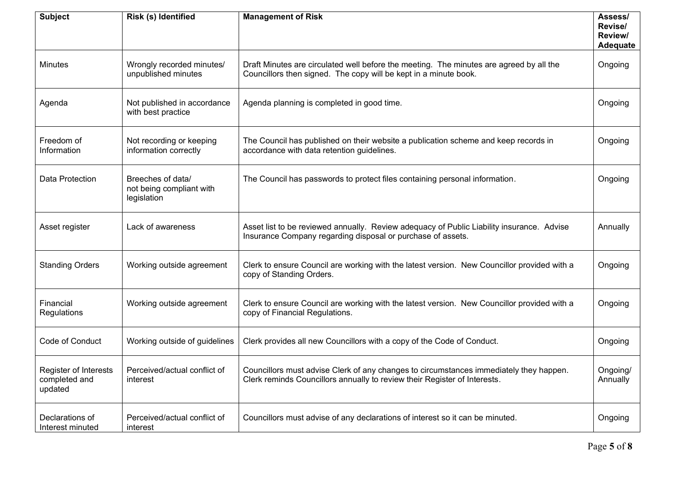| <b>Subject</b>                                    | Risk (s) Identified                                          | <b>Management of Risk</b>                                                                                                                                           | Assess/<br>Revise/<br>Review/<br>Adequate |
|---------------------------------------------------|--------------------------------------------------------------|---------------------------------------------------------------------------------------------------------------------------------------------------------------------|-------------------------------------------|
| <b>Minutes</b>                                    | Wrongly recorded minutes/<br>unpublished minutes             | Draft Minutes are circulated well before the meeting. The minutes are agreed by all the<br>Councillors then signed. The copy will be kept in a minute book.         | Ongoing                                   |
| Agenda                                            | Not published in accordance<br>with best practice            | Agenda planning is completed in good time.                                                                                                                          | Ongoing                                   |
| Freedom of<br>Information                         | Not recording or keeping<br>information correctly            | The Council has published on their website a publication scheme and keep records in<br>accordance with data retention guidelines.                                   | Ongoing                                   |
| Data Protection                                   | Breeches of data/<br>not being compliant with<br>legislation | The Council has passwords to protect files containing personal information.                                                                                         | Ongoing                                   |
| Asset register                                    | Lack of awareness                                            | Asset list to be reviewed annually. Review adequacy of Public Liability insurance. Advise<br>Insurance Company regarding disposal or purchase of assets.            | Annually                                  |
| <b>Standing Orders</b>                            | Working outside agreement                                    | Clerk to ensure Council are working with the latest version. New Councillor provided with a<br>copy of Standing Orders.                                             | Ongoing                                   |
| Financial<br>Regulations                          | Working outside agreement                                    | Clerk to ensure Council are working with the latest version. New Councillor provided with a<br>copy of Financial Regulations.                                       | Ongoing                                   |
| Code of Conduct                                   | Working outside of guidelines                                | Clerk provides all new Councillors with a copy of the Code of Conduct.                                                                                              | Ongoing                                   |
| Register of Interests<br>completed and<br>updated | Perceived/actual conflict of<br>interest                     | Councillors must advise Clerk of any changes to circumstances immediately they happen.<br>Clerk reminds Councillors annually to review their Register of Interests. | Ongoing/<br>Annually                      |
| Declarations of<br>Interest minuted               | Perceived/actual conflict of<br>interest                     | Councillors must advise of any declarations of interest so it can be minuted.                                                                                       | Ongoing                                   |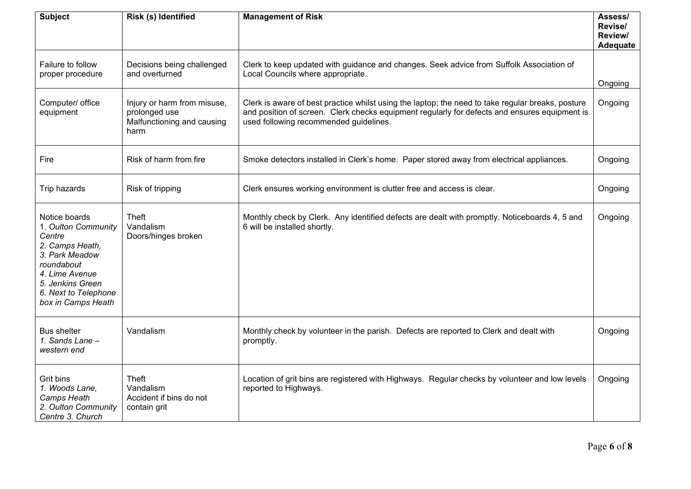| <b>Subject</b>                                                                                                                                                                        | Risk (s) Identified                                                                | <b>Management of Risk</b>                                                                                                                                                                                                                    | Assess/<br>Revise/<br>Review/<br>Adequate |
|---------------------------------------------------------------------------------------------------------------------------------------------------------------------------------------|------------------------------------------------------------------------------------|----------------------------------------------------------------------------------------------------------------------------------------------------------------------------------------------------------------------------------------------|-------------------------------------------|
| Failure to follow<br>proper procedure                                                                                                                                                 | Decisions being challenged<br>and overturned                                       | Clerk to keep updated with guidance and changes. Seek advice from Suffolk Association of<br>Local Councils where appropriate.                                                                                                                | Ongoing                                   |
| Computer/ office<br>equipment                                                                                                                                                         | Injury or harm from misuse,<br>prolonged use<br>Malfunctioning and causing<br>harm | Clerk is aware of best practice whilst using the laptop; the need to take regular breaks, posture<br>and position of screen. Clerk checks equipment regularly for defects and ensures equipment is<br>used following recommended guidelines. | Ongoing                                   |
| Fire                                                                                                                                                                                  | Risk of harm from fire                                                             | Smoke detectors installed in Clerk's home. Paper stored away from electrical appliances.                                                                                                                                                     | Ongoing                                   |
| Trip hazards                                                                                                                                                                          | Risk of tripping                                                                   | Clerk ensures working environment is clutter free and access is clear.                                                                                                                                                                       | Ongoing                                   |
| Notice boards<br>1. Oulton Community<br>Centre<br>2. Camps Heath,<br>3. Park Meadow<br>roundabout<br>4. Lime Avenue<br>5. Jenkins Green<br>6. Next to Telephone<br>box in Camps Heath | Theft<br>Vandalism<br>Doors/hinges broken                                          | Monthly check by Clerk. Any identified defects are dealt with promptly. Noticeboards 4, 5 and<br>6 will be installed shortly.                                                                                                                | Ongoing                                   |
| <b>Bus shelter</b><br>1. Sands Lane -<br>western end                                                                                                                                  | Vandalism                                                                          | Monthly check by volunteer in the parish. Defects are reported to Clerk and dealt with<br>promptly.                                                                                                                                          | Ongoing                                   |
| Grit bins<br>1. Woods Lane,<br>Camps Heath<br>2. Oulton Community<br>Centre 3. Church                                                                                                 | Theft<br>Vandalism<br>Accident if bins do not<br>contain grit                      | Location of grit bins are registered with Highways. Regular checks by volunteer and low levels<br>reported to Highways.                                                                                                                      | Ongoing                                   |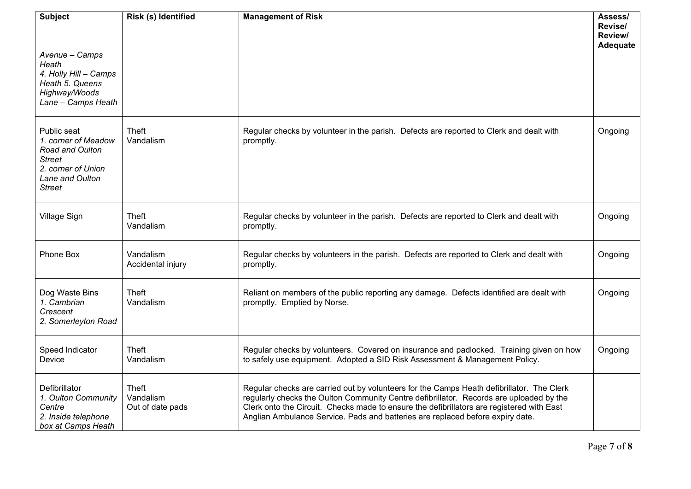| <b>Subject</b>                                                                                                                   | <b>Risk (s) Identified</b>             | <b>Management of Risk</b>                                                                                                                                                                                                                                                                                                                                           | Assess/<br>Revise/<br>Review/<br>Adequate |
|----------------------------------------------------------------------------------------------------------------------------------|----------------------------------------|---------------------------------------------------------------------------------------------------------------------------------------------------------------------------------------------------------------------------------------------------------------------------------------------------------------------------------------------------------------------|-------------------------------------------|
| Avenue - Camps<br>Heath<br>4. Holly Hill - Camps<br>Heath 5. Queens<br>Highway/Woods<br>Lane - Camps Heath                       |                                        |                                                                                                                                                                                                                                                                                                                                                                     |                                           |
| Public seat<br>1. corner of Meadow<br>Road and Oulton<br><b>Street</b><br>2. corner of Union<br>Lane and Oulton<br><b>Street</b> | Theft<br>Vandalism                     | Regular checks by volunteer in the parish. Defects are reported to Clerk and dealt with<br>promptly.                                                                                                                                                                                                                                                                | Ongoing                                   |
| Village Sign                                                                                                                     | Theft<br>Vandalism                     | Regular checks by volunteer in the parish. Defects are reported to Clerk and dealt with<br>promptly.                                                                                                                                                                                                                                                                | Ongoing                                   |
| Phone Box                                                                                                                        | Vandalism<br>Accidental injury         | Regular checks by volunteers in the parish. Defects are reported to Clerk and dealt with<br>promptly.                                                                                                                                                                                                                                                               | Ongoing                                   |
| Dog Waste Bins<br>1. Cambrian<br>Crescent<br>2. Somerleyton Road                                                                 | Theft<br>Vandalism                     | Reliant on members of the public reporting any damage. Defects identified are dealt with<br>promptly. Emptied by Norse.                                                                                                                                                                                                                                             | Ongoing                                   |
| Speed Indicator<br>Device                                                                                                        | Theft<br>Vandalism                     | Regular checks by volunteers. Covered on insurance and padlocked. Training given on how<br>to safely use equipment. Adopted a SID Risk Assessment & Management Policy.                                                                                                                                                                                              | Ongoing                                   |
| Defibrillator<br>1. Oulton Community<br>Centre<br>2. Inside telephone<br>box at Camps Heath                                      | Theft<br>Vandalism<br>Out of date pads | Regular checks are carried out by volunteers for the Camps Heath defibrillator. The Clerk<br>regularly checks the Oulton Community Centre defibrillator. Records are uploaded by the<br>Clerk onto the Circuit. Checks made to ensure the defibrillators are registered with East<br>Anglian Ambulance Service. Pads and batteries are replaced before expiry date. |                                           |